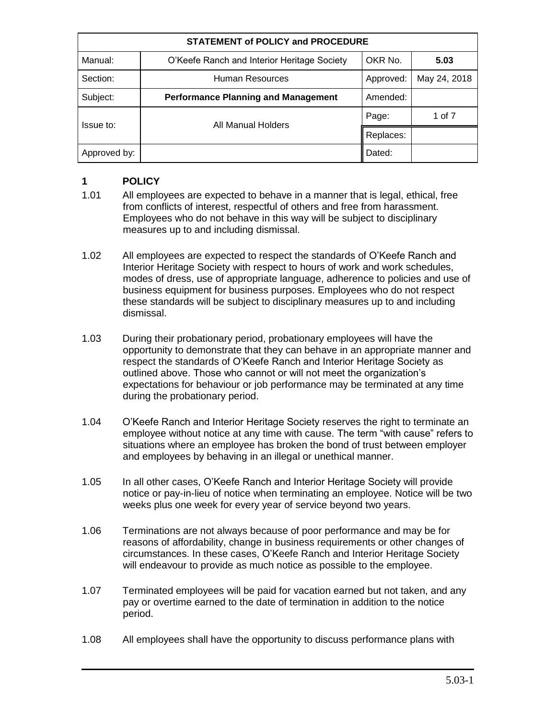| <b>STATEMENT of POLICY and PROCEDURE</b> |                                             |           |              |
|------------------------------------------|---------------------------------------------|-----------|--------------|
| Manual:                                  | O'Keefe Ranch and Interior Heritage Society | OKR No.   | 5.03         |
| Section:                                 | <b>Human Resources</b>                      | Approved: | May 24, 2018 |
| Subject:                                 | <b>Performance Planning and Management</b>  | Amended:  |              |
| Issue to:                                | All Manual Holders                          | Page:     | 1 of 7       |
|                                          |                                             | Replaces: |              |
| Approved by:                             |                                             | Dated:    |              |

### **1 POLICY**

- 1.01 All employees are expected to behave in a manner that is legal, ethical, free from conflicts of interest, respectful of others and free from harassment. Employees who do not behave in this way will be subject to disciplinary measures up to and including dismissal.
- 1.02 All employees are expected to respect the standards of O'Keefe Ranch and Interior Heritage Society with respect to hours of work and work schedules, modes of dress, use of appropriate language, adherence to policies and use of business equipment for business purposes. Employees who do not respect these standards will be subject to disciplinary measures up to and including dismissal.
- 1.03 During their probationary period, probationary employees will have the opportunity to demonstrate that they can behave in an appropriate manner and respect the standards of O'Keefe Ranch and Interior Heritage Society as outlined above. Those who cannot or will not meet the organization's expectations for behaviour or job performance may be terminated at any time during the probationary period.
- 1.04 O'Keefe Ranch and Interior Heritage Society reserves the right to terminate an employee without notice at any time with cause. The term "with cause" refers to situations where an employee has broken the bond of trust between employer and employees by behaving in an illegal or unethical manner.
- 1.05 In all other cases, O'Keefe Ranch and Interior Heritage Society will provide notice or pay-in-lieu of notice when terminating an employee. Notice will be two weeks plus one week for every year of service beyond two years.
- 1.06 Terminations are not always because of poor performance and may be for reasons of affordability, change in business requirements or other changes of circumstances. In these cases, O'Keefe Ranch and Interior Heritage Society will endeavour to provide as much notice as possible to the employee.
- 1.07 Terminated employees will be paid for vacation earned but not taken, and any pay or overtime earned to the date of termination in addition to the notice period.
- 1.08 All employees shall have the opportunity to discuss performance plans with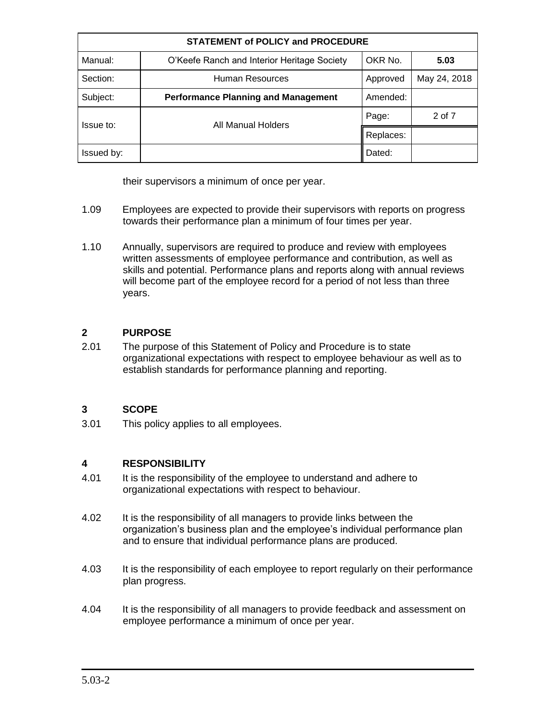| <b>STATEMENT of POLICY and PROCEDURE</b> |                                             |           |              |
|------------------------------------------|---------------------------------------------|-----------|--------------|
| Manual:                                  | O'Keefe Ranch and Interior Heritage Society | OKR No.   | 5.03         |
| Section:                                 | Human Resources                             | Approved  | May 24, 2018 |
| Subject:                                 | <b>Performance Planning and Management</b>  | Amended:  |              |
| Issue to:                                | All Manual Holders                          | Page:     | 2 of 7       |
|                                          |                                             | Replaces: |              |
| Issued by:                               |                                             | Dated:    |              |

their supervisors a minimum of once per year.

- 1.09 Employees are expected to provide their supervisors with reports on progress towards their performance plan a minimum of four times per year.
- 1.10 Annually, supervisors are required to produce and review with employees written assessments of employee performance and contribution, as well as skills and potential. Performance plans and reports along with annual reviews will become part of the employee record for a period of not less than three years.

### **2 PURPOSE**

2.01 The purpose of this Statement of Policy and Procedure is to state organizational expectations with respect to employee behaviour as well as to establish standards for performance planning and reporting.

# **3 SCOPE**

3.01 This policy applies to all employees.

# **4 RESPONSIBILITY**

- 4.01 It is the responsibility of the employee to understand and adhere to organizational expectations with respect to behaviour.
- 4.02 It is the responsibility of all managers to provide links between the organization's business plan and the employee's individual performance plan and to ensure that individual performance plans are produced.
- 4.03 It is the responsibility of each employee to report regularly on their performance plan progress.
- 4.04 It is the responsibility of all managers to provide feedback and assessment on employee performance a minimum of once per year.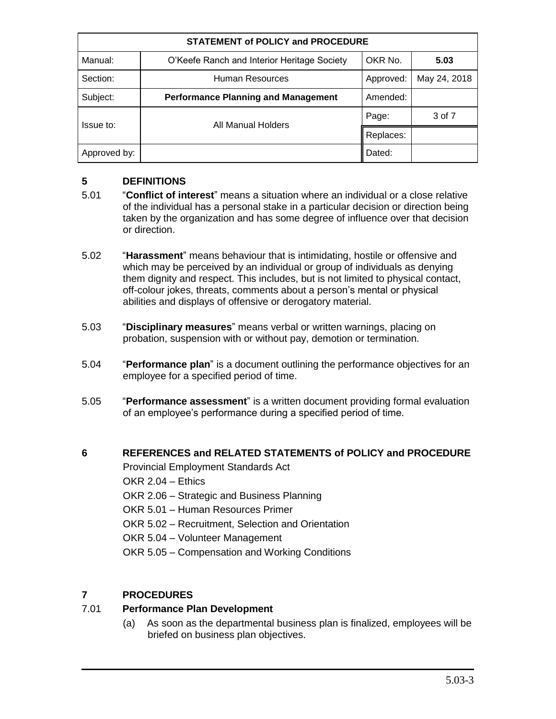| <b>STATEMENT of POLICY and PROCEDURE</b> |                                             |           |              |
|------------------------------------------|---------------------------------------------|-----------|--------------|
| Manual:                                  | O'Keefe Ranch and Interior Heritage Society | OKR No.   | 5.03         |
| Section:                                 | Human Resources                             | Approved: | May 24, 2018 |
| Subject:                                 | <b>Performance Planning and Management</b>  | Amended:  |              |
| Issue to:                                | All Manual Holders                          | Page:     | 3 of 7       |
|                                          |                                             | Replaces: |              |
| Approved by:                             |                                             | Dated:    |              |

### **5 DEFINITIONS**

- 5.01 "**Conflict of interest**" means a situation where an individual or a close relative of the individual has a personal stake in a particular decision or direction being taken by the organization and has some degree of influence over that decision or direction.
- 5.02 "**Harassment**" means behaviour that is intimidating, hostile or offensive and which may be perceived by an individual or group of individuals as denying them dignity and respect. This includes, but is not limited to physical contact, off-colour jokes, threats, comments about a person's mental or physical abilities and displays of offensive or derogatory material.
- 5.03 "**Disciplinary measures**" means verbal or written warnings, placing on probation, suspension with or without pay, demotion or termination.
- 5.04 "**Performance plan**" is a document outlining the performance objectives for an employee for a specified period of time.
- 5.05 "**Performance assessment**" is a written document providing formal evaluation of an employee's performance during a specified period of time.

### **6 REFERENCES and RELATED STATEMENTS of POLICY and PROCEDURE**

Provincial Employment Standards Act OKR 2.04 – Ethics OKR 2.06 – Strategic and Business Planning OKR 5.01 – Human Resources Primer OKR 5.02 – Recruitment, Selection and Orientation OKR 5.04 – Volunteer Management OKR 5.05 – Compensation and Working Conditions

# **7 PROCEDURES**

### 7.01 **Performance Plan Development**

(a) As soon as the departmental business plan is finalized, employees will be briefed on business plan objectives.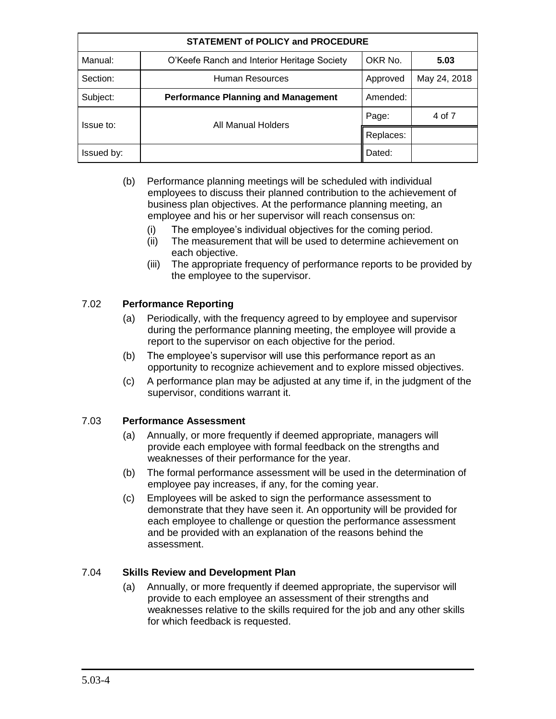| <b>STATEMENT of POLICY and PROCEDURE</b> |                                             |           |              |
|------------------------------------------|---------------------------------------------|-----------|--------------|
| Manual:                                  | O'Keefe Ranch and Interior Heritage Society | OKR No.   | 5.03         |
| Section:                                 | Human Resources                             | Approved  | May 24, 2018 |
| Subject:                                 | <b>Performance Planning and Management</b>  | Amended:  |              |
| Issue to:                                | All Manual Holders                          | Page:     | 4 of 7       |
|                                          |                                             | Replaces: |              |
| Issued by:                               |                                             | Dated:    |              |

- (b) Performance planning meetings will be scheduled with individual employees to discuss their planned contribution to the achievement of business plan objectives. At the performance planning meeting, an employee and his or her supervisor will reach consensus on:
	- (i) The employee's individual objectives for the coming period.
	- (ii) The measurement that will be used to determine achievement on each objective.
	- (iii) The appropriate frequency of performance reports to be provided by the employee to the supervisor.

### 7.02 **Performance Reporting**

- (a) Periodically, with the frequency agreed to by employee and supervisor during the performance planning meeting, the employee will provide a report to the supervisor on each objective for the period.
- (b) The employee's supervisor will use this performance report as an opportunity to recognize achievement and to explore missed objectives.
- (c) A performance plan may be adjusted at any time if, in the judgment of the supervisor, conditions warrant it.

### 7.03 **Performance Assessment**

- (a) Annually, or more frequently if deemed appropriate, managers will provide each employee with formal feedback on the strengths and weaknesses of their performance for the year.
- (b) The formal performance assessment will be used in the determination of employee pay increases, if any, for the coming year.
- (c) Employees will be asked to sign the performance assessment to demonstrate that they have seen it. An opportunity will be provided for each employee to challenge or question the performance assessment and be provided with an explanation of the reasons behind the assessment.

### 7.04 **Skills Review and Development Plan**

(a) Annually, or more frequently if deemed appropriate, the supervisor will provide to each employee an assessment of their strengths and weaknesses relative to the skills required for the job and any other skills for which feedback is requested.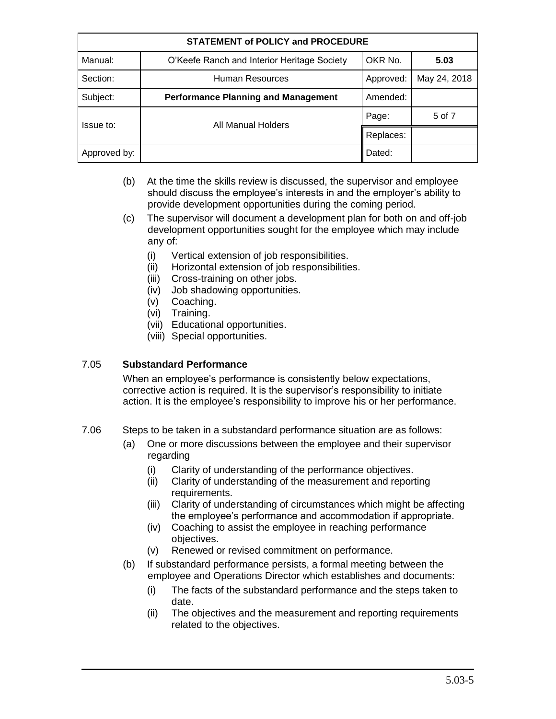| <b>STATEMENT of POLICY and PROCEDURE</b> |                                             |           |              |
|------------------------------------------|---------------------------------------------|-----------|--------------|
| Manual:                                  | O'Keefe Ranch and Interior Heritage Society | OKR No.   | 5.03         |
| Section:                                 | Human Resources                             | Approved: | May 24, 2018 |
| Subject:                                 | <b>Performance Planning and Management</b>  | Amended:  |              |
| Issue to:                                | All Manual Holders                          | Page:     | 5 of 7       |
|                                          |                                             | Replaces: |              |
| Approved by:                             |                                             | Dated:    |              |

- (b) At the time the skills review is discussed, the supervisor and employee should discuss the employee's interests in and the employer's ability to provide development opportunities during the coming period.
- (c) The supervisor will document a development plan for both on and off-job development opportunities sought for the employee which may include any of:
	- (i) Vertical extension of job responsibilities.
	- (ii) Horizontal extension of job responsibilities.
	- (iii) Cross-training on other jobs.
	- (iv) Job shadowing opportunities.
	- (v) Coaching.
	- (vi) Training.
	- (vii) Educational opportunities.
	- (viii) Special opportunities.

#### 7.05 **Substandard Performance**

When an employee's performance is consistently below expectations, corrective action is required. It is the supervisor's responsibility to initiate action. It is the employee's responsibility to improve his or her performance.

- 7.06 Steps to be taken in a substandard performance situation are as follows:
	- (a) One or more discussions between the employee and their supervisor regarding
		- (i) Clarity of understanding of the performance objectives.
		- (ii) Clarity of understanding of the measurement and reporting requirements.
		- (iii) Clarity of understanding of circumstances which might be affecting the employee's performance and accommodation if appropriate.
		- (iv) Coaching to assist the employee in reaching performance objectives.
		- (v) Renewed or revised commitment on performance.
	- (b) If substandard performance persists, a formal meeting between the employee and Operations Director which establishes and documents:
		- (i) The facts of the substandard performance and the steps taken to date.
		- (ii) The objectives and the measurement and reporting requirements related to the objectives.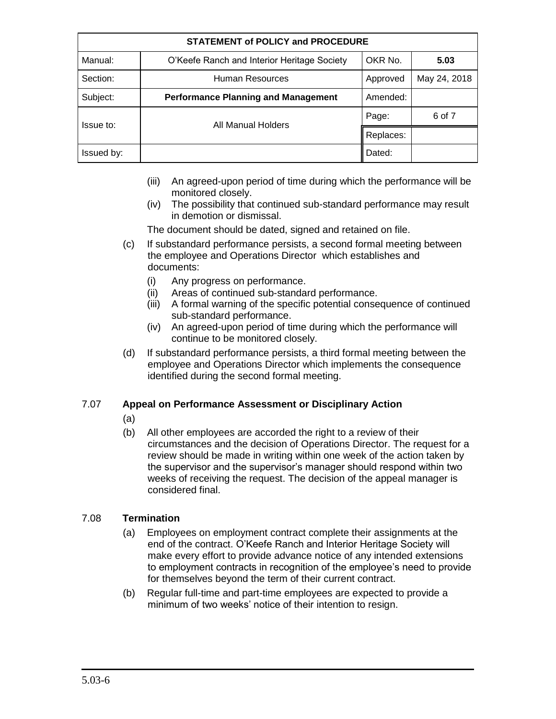| <b>STATEMENT of POLICY and PROCEDURE</b> |                                             |           |              |
|------------------------------------------|---------------------------------------------|-----------|--------------|
| Manual:                                  | O'Keefe Ranch and Interior Heritage Society | OKR No.   | 5.03         |
| Section:                                 | Human Resources                             | Approved  | May 24, 2018 |
| Subject:                                 | <b>Performance Planning and Management</b>  | Amended:  |              |
| Issue to:                                | All Manual Holders                          | Page:     | 6 of 7       |
|                                          |                                             | Replaces: |              |
| Issued by:                               |                                             | Dated:    |              |

- (iii) An agreed-upon period of time during which the performance will be monitored closely.
- (iv) The possibility that continued sub-standard performance may result in demotion or dismissal.

The document should be dated, signed and retained on file.

- (c) If substandard performance persists, a second formal meeting between the employee and Operations Director which establishes and documents:
	- (i) Any progress on performance.
	- (ii) Areas of continued sub-standard performance.
	- (iii) A formal warning of the specific potential consequence of continued sub-standard performance.
	- (iv) An agreed-upon period of time during which the performance will continue to be monitored closely.
- (d) If substandard performance persists, a third formal meeting between the employee and Operations Director which implements the consequence identified during the second formal meeting.

### 7.07 **Appeal on Performance Assessment or Disciplinary Action**

- (a)
- (b) All other employees are accorded the right to a review of their circumstances and the decision of Operations Director. The request for a review should be made in writing within one week of the action taken by the supervisor and the supervisor's manager should respond within two weeks of receiving the request. The decision of the appeal manager is considered final.

### 7.08 **Termination**

- (a) Employees on employment contract complete their assignments at the end of the contract. O'Keefe Ranch and Interior Heritage Society will make every effort to provide advance notice of any intended extensions to employment contracts in recognition of the employee's need to provide for themselves beyond the term of their current contract.
- (b) Regular full-time and part-time employees are expected to provide a minimum of two weeks' notice of their intention to resign.